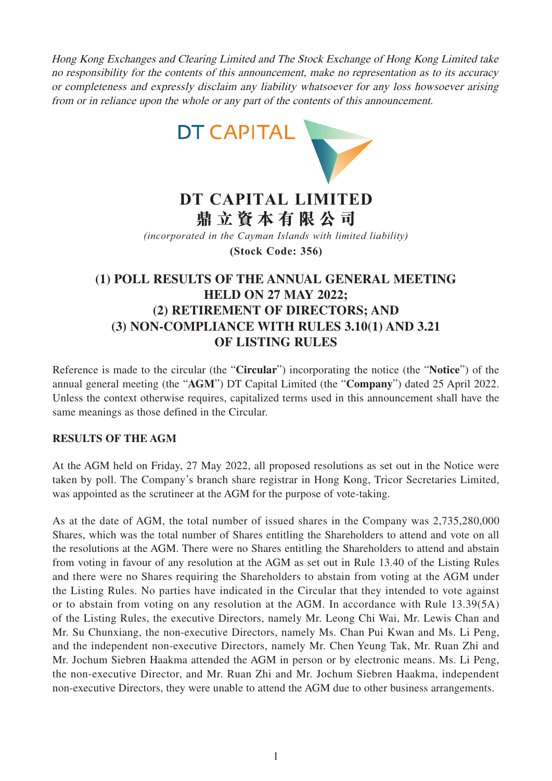Hong Kong Exchanges and Clearing Limited and The Stock Exchange of Hong Kong Limited take no responsibility for the contents of this announcement, make no representation as to its accuracy or completeness and expressly disclaim any liability whatsoever for any loss howsoever arising



# **DT CAPITAL LIMITED 鼎立資本有限公司**

*(incorporated in the Cayman Islands with limited liability)*

**(Stock Code: 356)**

## **(1) POLL RESULTS OF THE ANNUAL GENERAL MEETING HELD ON 27 MAY 2022; (2) RETIREMENT OF DIRECTORS; AND (3) NON-COMPLIANCE WITH RULES 3.10(1) AND 3.21 OF LISTING RULES**

Reference is made to the circular (the "**Circular**") incorporating the notice (the "**Notice**") of the annual general meeting (the "**AGM**") DT Capital Limited (the "**Company**") dated 25 April 2022. Unless the context otherwise requires, capitalized terms used in this announcement shall have the same meanings as those defined in the Circular.

#### **RESULTS OF THE AGM**

At the AGM held on Friday, 27 May 2022, all proposed resolutions as set out in the Notice were taken by poll. The Company's branch share registrar in Hong Kong, Tricor Secretaries Limited, was appointed as the scrutineer at the AGM for the purpose of vote-taking.

As at the date of AGM, the total number of issued shares in the Company was 2,735,280,000 Shares, which was the total number of Shares entitling the Shareholders to attend and vote on all the resolutions at the AGM. There were no Shares entitling the Shareholders to attend and abstain from voting in favour of any resolution at the AGM as set out in Rule 13.40 of the Listing Rules and there were no Shares requiring the Shareholders to abstain from voting at the AGM under the Listing Rules. No parties have indicated in the Circular that they intended to vote against or to abstain from voting on any resolution at the AGM. In accordance with Rule 13.39(5A) of the Listing Rules, the executive Directors, namely Mr. Leong Chi Wai, Mr. Lewis Chan and Mr. Su Chunxiang, the non-executive Directors, namely Ms. Chan Pui Kwan and Ms. Li Peng, and the independent non-executive Directors, namely Mr. Chen Yeung Tak, Mr. Ruan Zhi and Mr. Jochum Siebren Haakma attended the AGM in person or by electronic means. Ms. Li Peng, the non-executive Director, and Mr. Ruan Zhi and Mr. Jochum Siebren Haakma, independent non-executive Directors, they were unable to attend the AGM due to other business arrangements.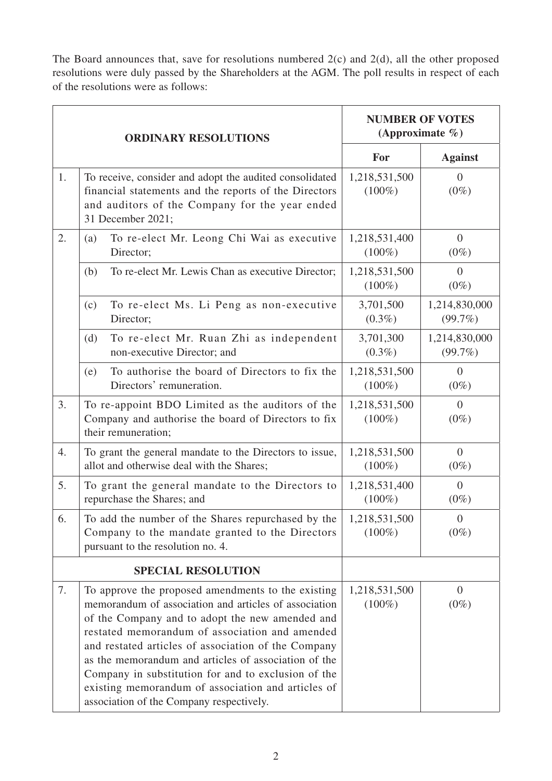The Board announces that, save for resolutions numbered 2(c) and 2(d), all the other proposed resolutions were duly passed by the Shareholders at the AGM. The poll results in respect of each of the resolutions were as follows:

| <b>ORDINARY RESOLUTIONS</b> |                                                                                                                                                                                                                                                                                                                                                                                                                                                                                          | <b>NUMBER OF VOTES</b><br>(Approximate $\%$ ) |                           |
|-----------------------------|------------------------------------------------------------------------------------------------------------------------------------------------------------------------------------------------------------------------------------------------------------------------------------------------------------------------------------------------------------------------------------------------------------------------------------------------------------------------------------------|-----------------------------------------------|---------------------------|
|                             |                                                                                                                                                                                                                                                                                                                                                                                                                                                                                          | For                                           | <b>Against</b>            |
| 1.                          | To receive, consider and adopt the audited consolidated<br>financial statements and the reports of the Directors<br>and auditors of the Company for the year ended<br>31 December 2021;                                                                                                                                                                                                                                                                                                  | 1,218,531,500<br>$(100\%)$                    | $\overline{0}$<br>$(0\%)$ |
| 2.                          | To re-elect Mr. Leong Chi Wai as executive<br>(a)<br>Director;                                                                                                                                                                                                                                                                                                                                                                                                                           | 1,218,531,400<br>$(100\%)$                    | $\overline{0}$<br>$(0\%)$ |
|                             | To re-elect Mr. Lewis Chan as executive Director;<br>(b)                                                                                                                                                                                                                                                                                                                                                                                                                                 | 1,218,531,500<br>$(100\%)$                    | $\overline{0}$<br>$(0\%)$ |
|                             | To re-elect Ms. Li Peng as non-executive<br>(c)<br>Director;                                                                                                                                                                                                                                                                                                                                                                                                                             | 3,701,500<br>$(0.3\%)$                        | 1,214,830,000<br>(99.7%)  |
|                             | To re-elect Mr. Ruan Zhi as independent<br>(d)<br>non-executive Director; and                                                                                                                                                                                                                                                                                                                                                                                                            | 3,701,300<br>$(0.3\%)$                        | 1,214,830,000<br>(99.7%)  |
|                             | To authorise the board of Directors to fix the<br>(e)<br>Directors' remuneration.                                                                                                                                                                                                                                                                                                                                                                                                        | 1,218,531,500<br>$(100\%)$                    | $\overline{0}$<br>$(0\%)$ |
| 3.                          | To re-appoint BDO Limited as the auditors of the<br>Company and authorise the board of Directors to fix<br>their remuneration;                                                                                                                                                                                                                                                                                                                                                           | 1,218,531,500<br>$(100\%)$                    | $\overline{0}$<br>$(0\%)$ |
| 4.                          | To grant the general mandate to the Directors to issue,<br>allot and otherwise deal with the Shares;                                                                                                                                                                                                                                                                                                                                                                                     | 1,218,531,500<br>$(100\%)$                    | $\overline{0}$<br>$(0\%)$ |
| 5.                          | To grant the general mandate to the Directors to<br>repurchase the Shares; and                                                                                                                                                                                                                                                                                                                                                                                                           | 1,218,531,400<br>$(100\%)$                    | $\overline{0}$<br>$(0\%)$ |
| 6.                          | To add the number of the Shares repurchased by the<br>Company to the mandate granted to the Directors<br>pursuant to the resolution no. 4.                                                                                                                                                                                                                                                                                                                                               | 1,218,531,500<br>$(100\%)$                    | $\overline{0}$<br>$(0\%)$ |
| <b>SPECIAL RESOLUTION</b>   |                                                                                                                                                                                                                                                                                                                                                                                                                                                                                          |                                               |                           |
| 7.                          | To approve the proposed amendments to the existing<br>memorandum of association and articles of association<br>of the Company and to adopt the new amended and<br>restated memorandum of association and amended<br>and restated articles of association of the Company<br>as the memorandum and articles of association of the<br>Company in substitution for and to exclusion of the<br>existing memorandum of association and articles of<br>association of the Company respectively. | 1,218,531,500<br>$(100\%)$                    | $\overline{0}$<br>$(0\%)$ |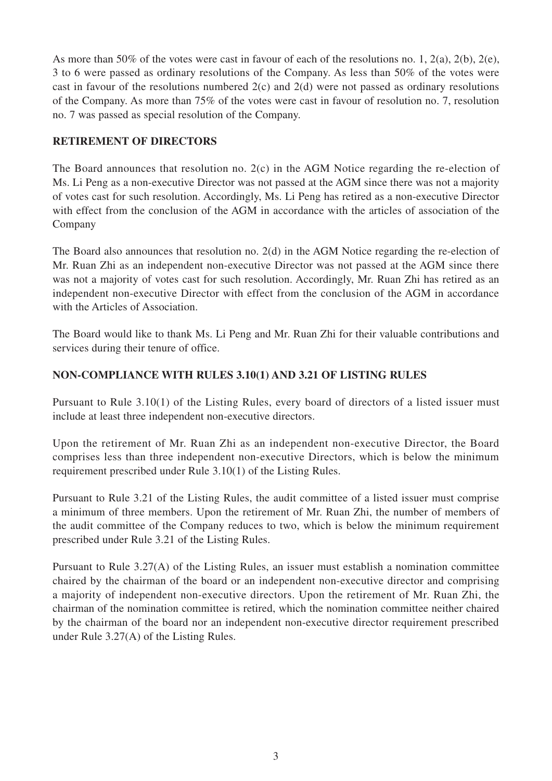As more than 50% of the votes were cast in favour of each of the resolutions no. 1, 2(a), 2(b), 2(e), 3 to 6 were passed as ordinary resolutions of the Company. As less than 50% of the votes were cast in favour of the resolutions numbered 2(c) and 2(d) were not passed as ordinary resolutions of the Company. As more than 75% of the votes were cast in favour of resolution no. 7, resolution no. 7 was passed as special resolution of the Company.

#### **RETIREMENT OF DIRECTORS**

The Board announces that resolution no. 2(c) in the AGM Notice regarding the re-election of Ms. Li Peng as a non-executive Director was not passed at the AGM since there was not a majority of votes cast for such resolution. Accordingly, Ms. Li Peng has retired as a non-executive Director with effect from the conclusion of the AGM in accordance with the articles of association of the Company

The Board also announces that resolution no. 2(d) in the AGM Notice regarding the re-election of Mr. Ruan Zhi as an independent non-executive Director was not passed at the AGM since there was not a majority of votes cast for such resolution. Accordingly, Mr. Ruan Zhi has retired as an independent non-executive Director with effect from the conclusion of the AGM in accordance with the Articles of Association.

The Board would like to thank Ms. Li Peng and Mr. Ruan Zhi for their valuable contributions and services during their tenure of office.

### **NON-COMPLIANCE WITH RULES 3.10(1) AND 3.21 OF LISTING RULES**

Pursuant to Rule 3.10(1) of the Listing Rules, every board of directors of a listed issuer must include at least three independent non-executive directors.

Upon the retirement of Mr. Ruan Zhi as an independent non-executive Director, the Board comprises less than three independent non-executive Directors, which is below the minimum requirement prescribed under Rule 3.10(1) of the Listing Rules.

Pursuant to Rule 3.21 of the Listing Rules, the audit committee of a listed issuer must comprise a minimum of three members. Upon the retirement of Mr. Ruan Zhi, the number of members of the audit committee of the Company reduces to two, which is below the minimum requirement prescribed under Rule 3.21 of the Listing Rules.

Pursuant to Rule 3.27(A) of the Listing Rules, an issuer must establish a nomination committee chaired by the chairman of the board or an independent non-executive director and comprising a majority of independent non-executive directors. Upon the retirement of Mr. Ruan Zhi, the chairman of the nomination committee is retired, which the nomination committee neither chaired by the chairman of the board nor an independent non-executive director requirement prescribed under Rule 3.27(A) of the Listing Rules.